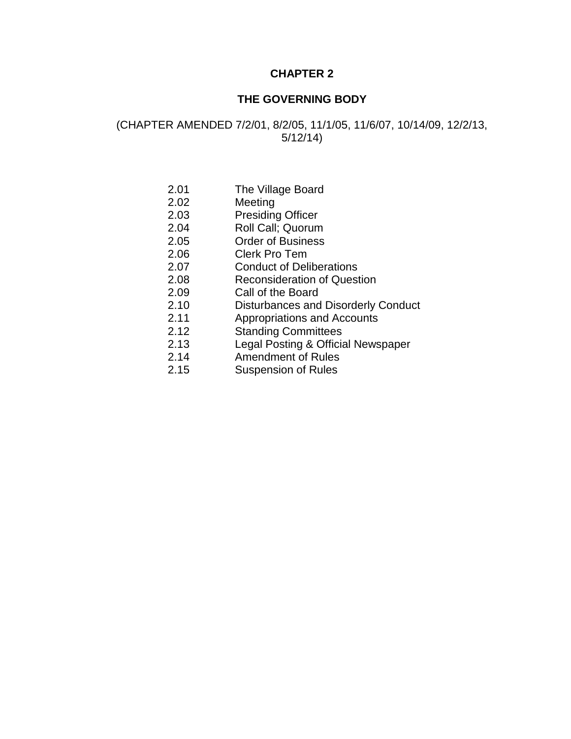# **CHAPTER 2**

## **THE GOVERNING BODY**

(CHAPTER AMENDED 7/2/01, 8/2/05, 11/1/05, 11/6/07, 10/14/09, 12/2/13, 5/12/14)

- 2.01 The Village Board
- 2.02 Meeting
- 2.03 Presiding Officer
- 2.04 Roll Call; Quorum
- 2.05 Order of Business
- 2.06 Clerk Pro Tem
- 2.07 Conduct of Deliberations
- 2.08 Reconsideration of Question
- 2.09 Call of the Board
- 2.10 Disturbances and Disorderly Conduct
- 2.11 Appropriations and Accounts
- 2.12 Standing Committees
- 2.13 Legal Posting & Official Newspaper
- 2.14 Amendment of Rules
- 2.15 Suspension of Rules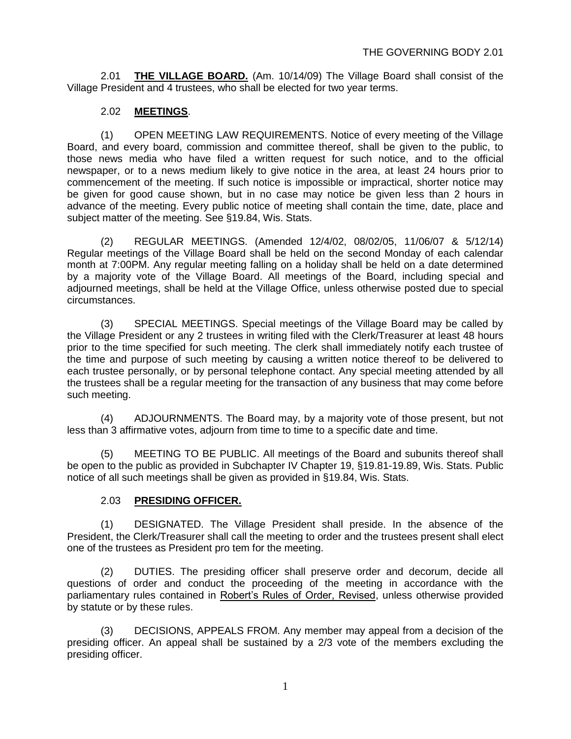2.01 **THE VILLAGE BOARD.** (Am. 10/14/09) The Village Board shall consist of the Village President and 4 trustees, who shall be elected for two year terms.

#### 2.02 **MEETINGS**.

(1) OPEN MEETING LAW REQUIREMENTS. Notice of every meeting of the Village Board, and every board, commission and committee thereof, shall be given to the public, to those news media who have filed a written request for such notice, and to the official newspaper, or to a news medium likely to give notice in the area, at least 24 hours prior to commencement of the meeting. If such notice is impossible or impractical, shorter notice may be given for good cause shown, but in no case may notice be given less than 2 hours in advance of the meeting. Every public notice of meeting shall contain the time, date, place and subject matter of the meeting. See §19.84, Wis. Stats.

(2) REGULAR MEETINGS. (Amended 12/4/02, 08/02/05, 11/06/07 & 5/12/14) Regular meetings of the Village Board shall be held on the second Monday of each calendar month at 7:00PM. Any regular meeting falling on a holiday shall be held on a date determined by a majority vote of the Village Board. All meetings of the Board, including special and adjourned meetings, shall be held at the Village Office, unless otherwise posted due to special circumstances.

(3) SPECIAL MEETINGS. Special meetings of the Village Board may be called by the Village President or any 2 trustees in writing filed with the Clerk/Treasurer at least 48 hours prior to the time specified for such meeting. The clerk shall immediately notify each trustee of the time and purpose of such meeting by causing a written notice thereof to be delivered to each trustee personally, or by personal telephone contact. Any special meeting attended by all the trustees shall be a regular meeting for the transaction of any business that may come before such meeting.

(4) ADJOURNMENTS. The Board may, by a majority vote of those present, but not less than 3 affirmative votes, adjourn from time to time to a specific date and time.

(5) MEETING TO BE PUBLIC. All meetings of the Board and subunits thereof shall be open to the public as provided in Subchapter IV Chapter 19, §19.81-19.89, Wis. Stats. Public notice of all such meetings shall be given as provided in §19.84, Wis. Stats.

#### 2.03 **PRESIDING OFFICER.**

(1) DESIGNATED. The Village President shall preside. In the absence of the President, the Clerk/Treasurer shall call the meeting to order and the trustees present shall elect one of the trustees as President pro tem for the meeting.

(2) DUTIES. The presiding officer shall preserve order and decorum, decide all questions of order and conduct the proceeding of the meeting in accordance with the parliamentary rules contained in Robert's Rules of Order, Revised, unless otherwise provided by statute or by these rules.

(3) DECISIONS, APPEALS FROM. Any member may appeal from a decision of the presiding officer. An appeal shall be sustained by a 2/3 vote of the members excluding the presiding officer.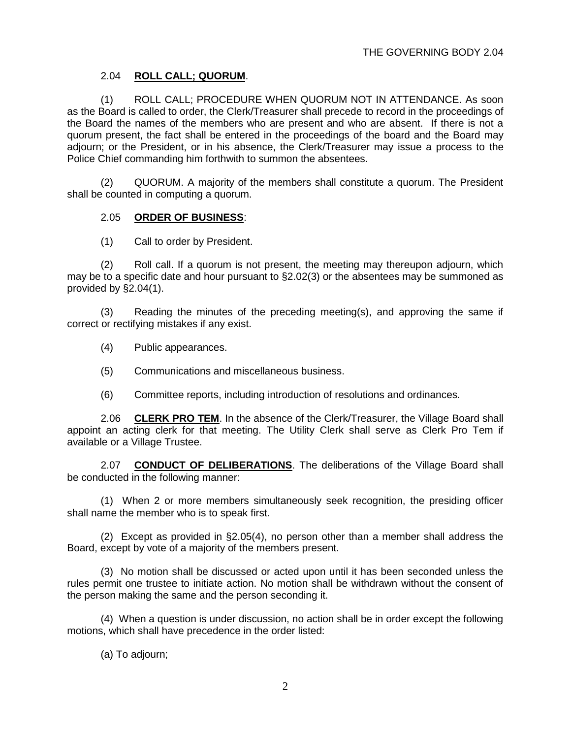#### 2.04 **ROLL CALL; QUORUM**.

(1) ROLL CALL; PROCEDURE WHEN QUORUM NOT IN ATTENDANCE. As soon as the Board is called to order, the Clerk/Treasurer shall precede to record in the proceedings of the Board the names of the members who are present and who are absent. If there is not a quorum present, the fact shall be entered in the proceedings of the board and the Board may adjourn; or the President, or in his absence, the Clerk/Treasurer may issue a process to the Police Chief commanding him forthwith to summon the absentees.

(2) QUORUM. A majority of the members shall constitute a quorum. The President shall be counted in computing a quorum.

#### 2.05 **ORDER OF BUSINESS**:

(1) Call to order by President.

(2) Roll call. If a quorum is not present, the meeting may thereupon adjourn, which may be to a specific date and hour pursuant to §2.02(3) or the absentees may be summoned as provided by §2.04(1).

(3) Reading the minutes of the preceding meeting(s), and approving the same if correct or rectifying mistakes if any exist.

- (4) Public appearances.
- (5) Communications and miscellaneous business.
- (6) Committee reports, including introduction of resolutions and ordinances.

2.06 **CLERK PRO TEM**. In the absence of the Clerk/Treasurer, the Village Board shall appoint an acting clerk for that meeting. The Utility Clerk shall serve as Clerk Pro Tem if available or a Village Trustee.

2.07 **CONDUCT OF DELIBERATIONS**. The deliberations of the Village Board shall be conducted in the following manner:

(1) When 2 or more members simultaneously seek recognition, the presiding officer shall name the member who is to speak first.

(2) Except as provided in §2.05(4), no person other than a member shall address the Board, except by vote of a majority of the members present.

(3) No motion shall be discussed or acted upon until it has been seconded unless the rules permit one trustee to initiate action. No motion shall be withdrawn without the consent of the person making the same and the person seconding it.

(4) When a question is under discussion, no action shall be in order except the following motions, which shall have precedence in the order listed:

(a) To adjourn;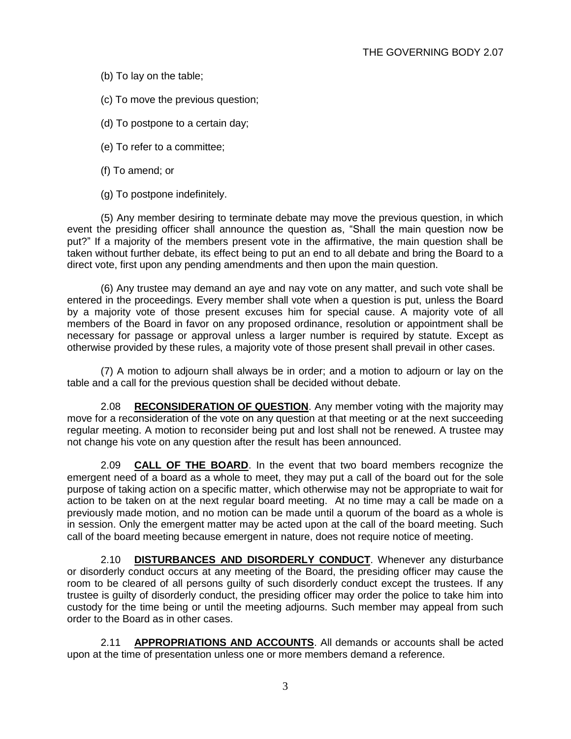- (b) To lay on the table;
- (c) To move the previous question;
- (d) To postpone to a certain day;
- (e) To refer to a committee;
- (f) To amend; or
- (g) To postpone indefinitely.

(5) Any member desiring to terminate debate may move the previous question, in which event the presiding officer shall announce the question as, "Shall the main question now be put?" If a majority of the members present vote in the affirmative, the main question shall be taken without further debate, its effect being to put an end to all debate and bring the Board to a direct vote, first upon any pending amendments and then upon the main question.

(6) Any trustee may demand an aye and nay vote on any matter, and such vote shall be entered in the proceedings. Every member shall vote when a question is put, unless the Board by a majority vote of those present excuses him for special cause. A majority vote of all members of the Board in favor on any proposed ordinance, resolution or appointment shall be necessary for passage or approval unless a larger number is required by statute. Except as otherwise provided by these rules, a majority vote of those present shall prevail in other cases.

(7) A motion to adjourn shall always be in order; and a motion to adjourn or lay on the table and a call for the previous question shall be decided without debate.

2.08 **RECONSIDERATION OF QUESTION**. Any member voting with the majority may move for a reconsideration of the vote on any question at that meeting or at the next succeeding regular meeting. A motion to reconsider being put and lost shall not be renewed. A trustee may not change his vote on any question after the result has been announced.

2.09 **CALL OF THE BOARD**. In the event that two board members recognize the emergent need of a board as a whole to meet, they may put a call of the board out for the sole purpose of taking action on a specific matter, which otherwise may not be appropriate to wait for action to be taken on at the next regular board meeting. At no time may a call be made on a previously made motion, and no motion can be made until a quorum of the board as a whole is in session. Only the emergent matter may be acted upon at the call of the board meeting. Such call of the board meeting because emergent in nature, does not require notice of meeting.

2.10 **DISTURBANCES AND DISORDERLY CONDUCT**. Whenever any disturbance or disorderly conduct occurs at any meeting of the Board, the presiding officer may cause the room to be cleared of all persons guilty of such disorderly conduct except the trustees. If any trustee is guilty of disorderly conduct, the presiding officer may order the police to take him into custody for the time being or until the meeting adjourns. Such member may appeal from such order to the Board as in other cases.

2.11 **APPROPRIATIONS AND ACCOUNTS**. All demands or accounts shall be acted upon at the time of presentation unless one or more members demand a reference.